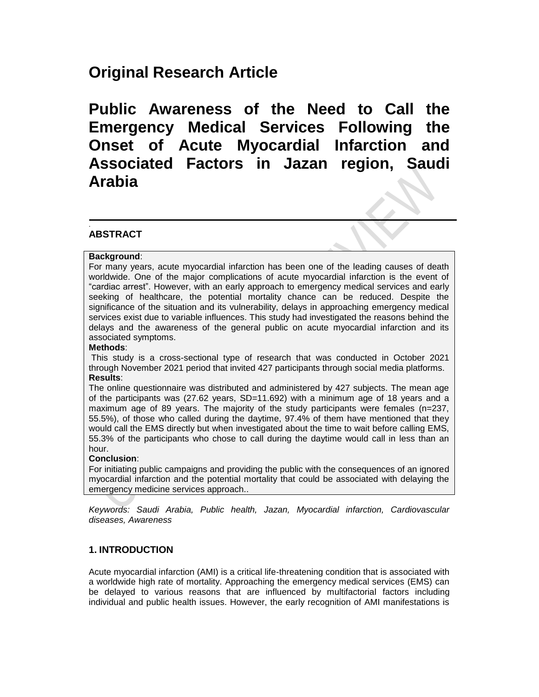# **Original Research Article**

**Public Awareness of the Need to Call the Emergency Medical Services Following the Onset of Acute Myocardial Infarction and Associated Factors in Jazan region, Saudi Arabia**

#### . **ABSTRACT**

## **Background**:

For many years, acute myocardial infarction has been one of the leading causes of death worldwide. One of the major complications of acute myocardial infarction is the event of "cardiac arrest". However, with an early approach to emergency medical services and early seeking of healthcare, the potential mortality chance can be reduced. Despite the significance of the situation and its vulnerability, delays in approaching emergency medical services exist due to variable influences. This study had investigated the reasons behind the delays and the awareness of the general public on acute myocardial infarction and its associated symptoms.

## **Methods**:

This study is a cross-sectional type of research that was conducted in October 2021 through November 2021 period that invited 427 participants through social media platforms. **Results**:

The online questionnaire was distributed and administered by 427 subjects. The mean age of the participants was (27.62 years, SD=11.692) with a minimum age of 18 years and a maximum age of 89 years. The majority of the study participants were females (n=237, 55.5%), of those who called during the daytime, 97.4% of them have mentioned that they would call the EMS directly but when investigated about the time to wait before calling EMS, 55.3% of the participants who chose to call during the daytime would call in less than an hour.

#### **Conclusion**:

For initiating public campaigns and providing the public with the consequences of an ignored myocardial infarction and the potential mortality that could be associated with delaying the emergency medicine services approach..

*Keywords: Saudi Arabia, Public health, Jazan, Myocardial infarction, Cardiovascular diseases, Awareness*

# **1. INTRODUCTION**

Acute myocardial infarction (AMI) is a critical life-threatening condition that is associated with a worldwide high rate of mortality. Approaching the emergency medical services (EMS) can be delayed to various reasons that are influenced by multifactorial factors including individual and public health issues. However, the early recognition of AMI manifestations is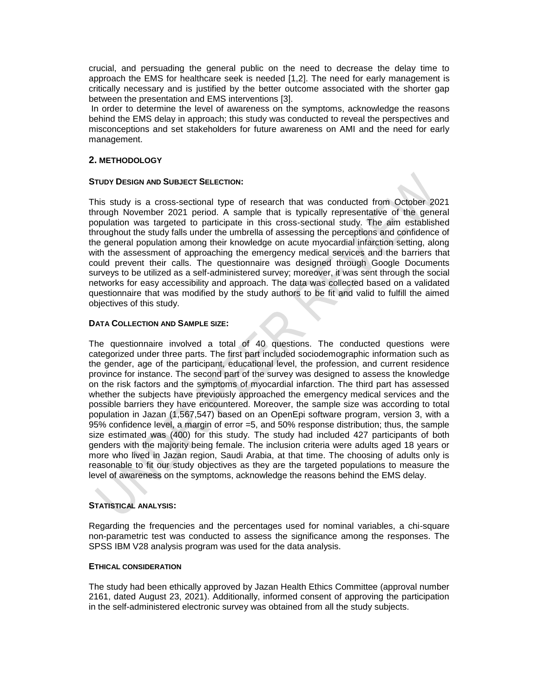crucial, and persuading the general public on the need to decrease the delay time to approach the EMS for healthcare seek is needed [1,2]. The need for early management is critically necessary and is justified by the better outcome associated with the shorter gap between the presentation and EMS interventions [3].

In order to determine the level of awareness on the symptoms, acknowledge the reasons behind the EMS delay in approach; this study was conducted to reveal the perspectives and misconceptions and set stakeholders for future awareness on AMI and the need for early management.

## **2. METHODOLOGY**

#### **STUDY DESIGN AND SUBJECT SELECTION:**

This study is a cross-sectional type of research that was conducted from October 2021 through November 2021 period. A sample that is typically representative of the general population was targeted to participate in this cross-sectional study. The aim established throughout the study falls under the umbrella of assessing the perceptions and confidence of the general population among their knowledge on acute myocardial infarction setting, along with the assessment of approaching the emergency medical services and the barriers that could prevent their calls. The questionnaire was designed through Google Documents surveys to be utilized as a self-administered survey; moreover, it was sent through the social networks for easy accessibility and approach. The data was collected based on a validated questionnaire that was modified by the study authors to be fit and valid to fulfill the aimed objectives of this study.

#### **DATA COLLECTION AND SAMPLE SIZE:**

The questionnaire involved a total of 40 questions. The conducted questions were categorized under three parts. The first part included sociodemographic information such as the gender, age of the participant, educational level, the profession, and current residence province for instance. The second part of the survey was designed to assess the knowledge on the risk factors and the symptoms of myocardial infarction. The third part has assessed whether the subjects have previously approached the emergency medical services and the possible barriers they have encountered. Moreover, the sample size was according to total population in Jazan (1,567,547) based on an OpenEpi software program, version 3, with a 95% confidence level, a margin of error =5, and 50% response distribution; thus, the sample size estimated was (400) for this study. The study had included 427 participants of both genders with the majority being female. The inclusion criteria were adults aged 18 years or more who lived in Jazan region, Saudi Arabia, at that time. The choosing of adults only is reasonable to fit our study objectives as they are the targeted populations to measure the level of awareness on the symptoms, acknowledge the reasons behind the EMS delay.

#### **STATISTICAL ANALYSIS:**

Regarding the frequencies and the percentages used for nominal variables, a chi-square non-parametric test was conducted to assess the significance among the responses. The SPSS IBM V28 analysis program was used for the data analysis.

#### **ETHICAL CONSIDERATION**

The study had been ethically approved by Jazan Health Ethics Committee (approval number 2161, dated August 23, 2021). Additionally, informed consent of approving the participation in the self-administered electronic survey was obtained from all the study subjects.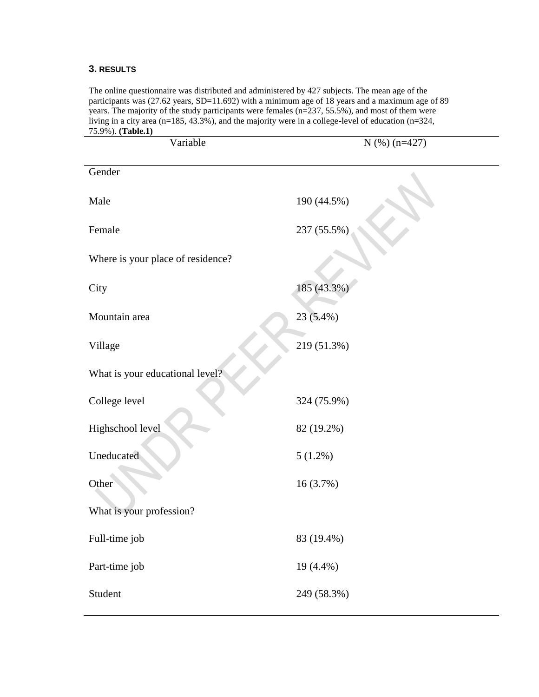# **3. RESULTS**

The online questionnaire was distributed and administered by 427 subjects. The mean age of the participants was (27.62 years, SD=11.692) with a minimum age of 18 years and a maximum age of 89 years. The majority of the study participants were females (n=237, 55.5%), and most of them were living in a city area ( $n=185, 43.3\%$ ), and the majority were in a college-level of education ( $n=324$ , 75.9%). **(Table.1)**

| Variable                          | $N$ (%) (n=427) |
|-----------------------------------|-----------------|
| Gender                            |                 |
| Male                              | 190 (44.5%)     |
| Female                            | 237 (55.5%)     |
| Where is your place of residence? |                 |
| City                              | 185 (43.3%)     |
| Mountain area                     | 23 (5.4%)       |
| Village                           | 219 (51.3%)     |
| What is your educational level?   |                 |
| College level                     | 324 (75.9%)     |
| Highschool level                  | 82 (19.2%)      |
| Uneducated                        | $5(1.2\%)$      |
| Other                             | 16 (3.7%)       |
| What is your profession?          |                 |
| Full-time job                     | 83 (19.4%)      |
| Part-time job                     | 19 (4.4%)       |
| Student                           | 249 (58.3%)     |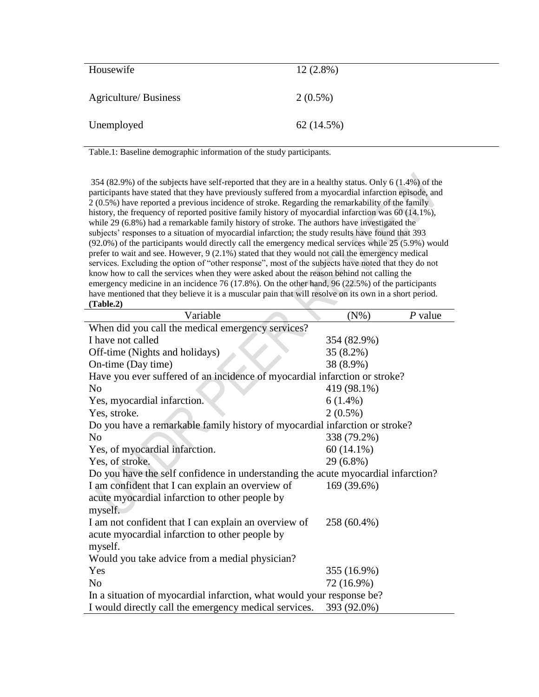| Housewife                    | $12(2.8\%)$ |
|------------------------------|-------------|
| <b>Agriculture/ Business</b> | $2(0.5\%)$  |
| Unemployed                   | 62 (14.5%)  |

Table.1: Baseline demographic information of the study participants.

354 (82.9%) of the subjects have self-reported that they are in a healthy status. Only 6 (1.4%) of the participants have stated that they have previously suffered from a myocardial infarction episode, and 2 (0.5%) have reported a previous incidence of stroke. Regarding the remarkability of the family history, the frequency of reported positive family history of myocardial infarction was 60 (14.1%), while 29 (6.8%) had a remarkable family history of stroke. The authors have investigated the subjects' responses to a situation of myocardial infarction; the study results have found that 393 (92.0%) of the participants would directly call the emergency medical services while 25 (5.9%) would prefer to wait and see. However, 9 (2.1%) stated that they would not call the emergency medical services. Excluding the option of "other response", most of the subjects have noted that they do not know how to call the services when they were asked about the reason behind not calling the emergency medicine in an incidence 76 (17.8%). On the other hand, 96 (22.5%) of the participants have mentioned that they believe it is a muscular pain that will resolve on its own in a short period. **(Table.2)**

| Variable                                                                          | $(N\%)$      | $P$ value |  |  |
|-----------------------------------------------------------------------------------|--------------|-----------|--|--|
| When did you call the medical emergency services?                                 |              |           |  |  |
| I have not called                                                                 | 354 (82.9%)  |           |  |  |
| Off-time (Nights and holidays)                                                    | $35(8.2\%)$  |           |  |  |
| On-time (Day time)                                                                | 38 (8.9%)    |           |  |  |
| Have you ever suffered of an incidence of myocardial infarction or stroke?        |              |           |  |  |
| N <sub>0</sub>                                                                    | 419 (98.1%)  |           |  |  |
| Yes, myocardial infarction.                                                       | $6(1.4\%)$   |           |  |  |
| Yes, stroke.                                                                      | $2(0.5\%)$   |           |  |  |
| Do you have a remarkable family history of myocardial infarction or stroke?       |              |           |  |  |
| N <sub>0</sub>                                                                    | 338 (79.2%)  |           |  |  |
| Yes, of myocardial infarction.                                                    | $60(14.1\%)$ |           |  |  |
| Yes, of stroke.                                                                   | 29 (6.8%)    |           |  |  |
| Do you have the self confidence in understanding the acute myocardial infarction? |              |           |  |  |
| I am confident that I can explain an overview of                                  | 169 (39.6%)  |           |  |  |
| acute myocardial infarction to other people by                                    |              |           |  |  |
| myself.                                                                           |              |           |  |  |
| I am not confident that I can explain an overview of                              | 258 (60.4%)  |           |  |  |
| acute myocardial infarction to other people by                                    |              |           |  |  |
| myself.                                                                           |              |           |  |  |
| Would you take advice from a medial physician?                                    |              |           |  |  |
| Yes                                                                               | 355 (16.9%)  |           |  |  |
| N <sub>0</sub>                                                                    | 72 (16.9%)   |           |  |  |
| In a situation of myocardial infarction, what would your response be?             |              |           |  |  |
| I would directly call the emergency medical services.                             | 393 (92.0%)  |           |  |  |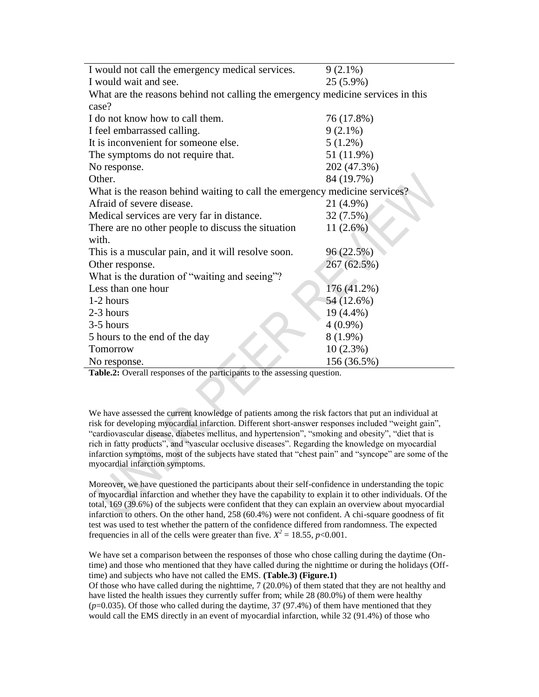| $9(2.1\%)$<br>I would not call the emergency medical services.<br>I would wait and see.<br>25 (5.9%)<br>What are the reasons behind not calling the emergency medicine services in this<br>case?<br>I do not know how to call them.<br>76 (17.8%)<br>I feel embarrassed calling.<br>$9(2.1\%)$<br>It is inconvenient for someone else.<br>$5(1.2\%)$<br>51 (11.9%)<br>The symptoms do not require that.<br>202 (47.3%)<br>No response.<br>Other.<br>84 (19.7%)<br>What is the reason behind waiting to call the emergency medicine services?<br>Afraid of severe disease.<br>21 (4.9%)<br>32 (7.5%)<br>Medical services are very far in distance.<br>11(2.6%)<br>There are no other people to discuss the situation<br>with. |
|------------------------------------------------------------------------------------------------------------------------------------------------------------------------------------------------------------------------------------------------------------------------------------------------------------------------------------------------------------------------------------------------------------------------------------------------------------------------------------------------------------------------------------------------------------------------------------------------------------------------------------------------------------------------------------------------------------------------------|
|                                                                                                                                                                                                                                                                                                                                                                                                                                                                                                                                                                                                                                                                                                                              |
|                                                                                                                                                                                                                                                                                                                                                                                                                                                                                                                                                                                                                                                                                                                              |
|                                                                                                                                                                                                                                                                                                                                                                                                                                                                                                                                                                                                                                                                                                                              |
|                                                                                                                                                                                                                                                                                                                                                                                                                                                                                                                                                                                                                                                                                                                              |
|                                                                                                                                                                                                                                                                                                                                                                                                                                                                                                                                                                                                                                                                                                                              |
|                                                                                                                                                                                                                                                                                                                                                                                                                                                                                                                                                                                                                                                                                                                              |
|                                                                                                                                                                                                                                                                                                                                                                                                                                                                                                                                                                                                                                                                                                                              |
|                                                                                                                                                                                                                                                                                                                                                                                                                                                                                                                                                                                                                                                                                                                              |
|                                                                                                                                                                                                                                                                                                                                                                                                                                                                                                                                                                                                                                                                                                                              |
|                                                                                                                                                                                                                                                                                                                                                                                                                                                                                                                                                                                                                                                                                                                              |
|                                                                                                                                                                                                                                                                                                                                                                                                                                                                                                                                                                                                                                                                                                                              |
|                                                                                                                                                                                                                                                                                                                                                                                                                                                                                                                                                                                                                                                                                                                              |
|                                                                                                                                                                                                                                                                                                                                                                                                                                                                                                                                                                                                                                                                                                                              |
|                                                                                                                                                                                                                                                                                                                                                                                                                                                                                                                                                                                                                                                                                                                              |
|                                                                                                                                                                                                                                                                                                                                                                                                                                                                                                                                                                                                                                                                                                                              |
| 96 (22.5%)<br>This is a muscular pain, and it will resolve soon.                                                                                                                                                                                                                                                                                                                                                                                                                                                                                                                                                                                                                                                             |
| 267 (62.5%)<br>Other response.                                                                                                                                                                                                                                                                                                                                                                                                                                                                                                                                                                                                                                                                                               |
| What is the duration of "waiting and seeing"?                                                                                                                                                                                                                                                                                                                                                                                                                                                                                                                                                                                                                                                                                |
| 176 (41.2%)<br>Less than one hour                                                                                                                                                                                                                                                                                                                                                                                                                                                                                                                                                                                                                                                                                            |
| 54 (12.6%)<br>1-2 hours                                                                                                                                                                                                                                                                                                                                                                                                                                                                                                                                                                                                                                                                                                      |
| 2-3 hours<br>19 (4.4%)                                                                                                                                                                                                                                                                                                                                                                                                                                                                                                                                                                                                                                                                                                       |
| 3-5 hours<br>$4(0.9\%)$                                                                                                                                                                                                                                                                                                                                                                                                                                                                                                                                                                                                                                                                                                      |
| $8(1.9\%)$<br>5 hours to the end of the day                                                                                                                                                                                                                                                                                                                                                                                                                                                                                                                                                                                                                                                                                  |
| 10(2.3%)<br>Tomorrow                                                                                                                                                                                                                                                                                                                                                                                                                                                                                                                                                                                                                                                                                                         |
| 156 (36.5%)<br>No response.                                                                                                                                                                                                                                                                                                                                                                                                                                                                                                                                                                                                                                                                                                  |

**Table.2:** Overall responses of the participants to the assessing question.

We have assessed the current knowledge of patients among the risk factors that put an individual at risk for developing myocardial infarction. Different short-answer responses included "weight gain", "cardiovascular disease, diabetes mellitus, and hypertension", "smoking and obesity", "diet that is rich in fatty products", and "vascular occlusive diseases". Regarding the knowledge on myocardial infarction symptoms, most of the subjects have stated that "chest pain" and "syncope" are some of the myocardial infarction symptoms.

Moreover, we have questioned the participants about their self-confidence in understanding the topic of myocardial infarction and whether they have the capability to explain it to other individuals. Of the total, 169 (39.6%) of the subjects were confident that they can explain an overview about myocardial infarction to others. On the other hand, 258 (60.4%) were not confident. A chi-square goodness of fit test was used to test whether the pattern of the confidence differed from randomness. The expected frequencies in all of the cells were greater than five.  $X^2 = 18.55$ ,  $p < 0.001$ .

We have set a comparison between the responses of those who chose calling during the daytime (Ontime) and those who mentioned that they have called during the nighttime or during the holidays (Offtime) and subjects who have not called the EMS. **(Table.3) (Figure.1)**

Of those who have called during the nighttime, 7 (20.0%) of them stated that they are not healthy and have listed the health issues they currently suffer from; while 28 (80.0%) of them were healthy (*p*=0.035). Of those who called during the daytime, 37 (97.4%) of them have mentioned that they would call the EMS directly in an event of myocardial infarction, while 32 (91.4%) of those who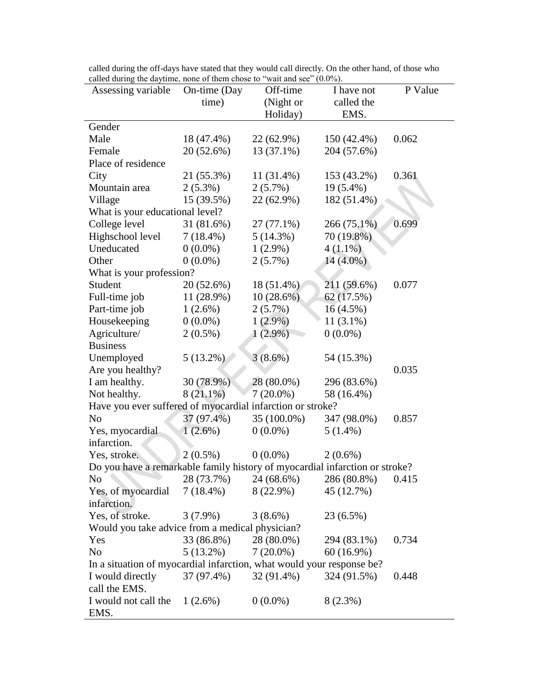| called during the dayume, none of them chose to wait and see $(0.0\%)$ .    |              |              |              |         |
|-----------------------------------------------------------------------------|--------------|--------------|--------------|---------|
| Assessing variable                                                          | On-time (Day | Off-time     | I have not   | P Value |
|                                                                             | time)        | (Night or    | called the   |         |
|                                                                             |              | Holiday)     | EMS.         |         |
| Gender                                                                      |              |              |              |         |
| Male                                                                        | 18 (47.4%)   | 22 (62.9%)   | 150 (42.4%)  | 0.062   |
| Female                                                                      | 20 (52.6%)   | $13(37.1\%)$ | 204 (57.6%)  |         |
| Place of residence                                                          |              |              |              |         |
| City                                                                        | 21 (55.3%)   | 11 (31.4%)   | 153 (43.2%)  | 0.361   |
| Mountain area                                                               | $2(5.3\%)$   | $2(5.7\%)$   | 19 (5.4%)    |         |
| Village                                                                     | 15 (39.5%)   | 22 (62.9%)   | 182 (51.4%)  |         |
| What is your educational level?                                             |              |              |              |         |
| College level                                                               | 31 (81.6%)   | 27 (77.1%)   | 266 (75.1%)  | 0.699   |
| Highschool level                                                            | $7(18.4\%)$  | 5(14.3%)     | 70 (19.8%)   |         |
| Uneducated                                                                  | $0(0.0\%)$   | $1(2.9\%)$   | $4(1.1\%)$   |         |
| Other                                                                       | $0(0.0\%)$   | $2(5.7\%)$   | $14(4.0\%)$  |         |
| What is your profession?                                                    |              |              |              |         |
| Student                                                                     | 20 (52.6%)   | 18 (51.4%)   | 211 (59.6%)  | 0.077   |
| Full-time job                                                               | 11 (28.9%)   | $10(28.6\%)$ | 62(17.5%)    |         |
| Part-time job                                                               | $1(2.6\%)$   | $2(5.7\%)$   | $16(4.5\%)$  |         |
| Housekeeping                                                                | $0(0.0\%)$   | $1(2.9\%)$   | $11(3.1\%)$  |         |
| Agriculture/                                                                | $2(0.5\%)$   | $1(2.9\%)$   | $0(0.0\%)$   |         |
| <b>Business</b>                                                             |              |              |              |         |
| Unemployed                                                                  | $5(13.2\%)$  | $3(8.6\%)$   | 54 (15.3%)   |         |
| Are you healthy?                                                            |              |              |              | 0.035   |
| I am healthy.                                                               | 30 (78.9%)   | 28 (80.0%)   | 296 (83.6%)  |         |
| Not healthy.                                                                | $8(21.1\%)$  | $7(20.0\%)$  | 58 (16.4%)   |         |
| Have you ever suffered of myocardial infarction or stroke?                  |              |              |              |         |
| N <sub>o</sub>                                                              | 37 (97.4%)   | 35 (100.0%)  | 347 (98.0%)  | 0.857   |
| Yes, myocardial                                                             | $1(2.6\%)$   | $0(0.0\%)$   | $5(1.4\%)$   |         |
| infarction.                                                                 |              |              |              |         |
| Yes, stroke.                                                                | $2(0.5\%)$   | $0(0.0\%)$   | $2(0.6\%)$   |         |
| Do you have a remarkable family history of myocardial infarction or stroke? |              |              |              |         |
| N <sub>0</sub>                                                              | 28 (73.7%)   | 24 (68.6%)   | 286 (80.8%)  | 0.415   |
| Yes, of myocardial                                                          | $7(18.4\%)$  | $8(22.9\%)$  | 45 (12.7%)   |         |
| infarction.                                                                 |              |              |              |         |
| Yes, of stroke.                                                             | $3(7.9\%)$   | $3(8.6\%)$   | 23 (6.5%)    |         |
| Would you take advice from a medical physician?                             |              |              |              |         |
| Yes                                                                         | 33 (86.8%)   | 28 (80.0%)   | 294 (83.1%)  | 0.734   |
| N <sub>o</sub>                                                              | $5(13.2\%)$  | $7(20.0\%)$  | $60(16.9\%)$ |         |
| In a situation of myocardial infarction, what would your response be?       |              |              |              |         |
| I would directly                                                            | 37 (97.4%)   | 32 (91.4%)   | 324 (91.5%)  | 0.448   |
| call the EMS.                                                               |              |              |              |         |
|                                                                             |              |              |              |         |
| I would not call the                                                        | $1(2.6\%)$   | $0(0.0\%)$   | $8(2.3\%)$   |         |
| EMS.                                                                        |              |              |              |         |

called during the off-days have stated that they would call directly. On the other hand, of those who called during the daytime, none of them chose to "wait and see" (0.0%).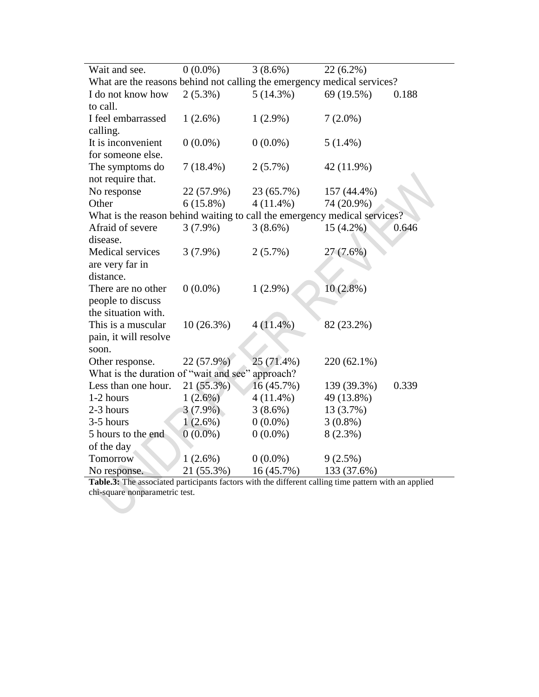| Wait and see.                                                             | $0(0.0\%)$  | $3(8.6\%)$  | $22(6.2\%)$ |       |
|---------------------------------------------------------------------------|-------------|-------------|-------------|-------|
| What are the reasons behind not calling the emergency medical services?   |             |             |             |       |
| I do not know how                                                         | $2(5.3\%)$  | $5(14.3\%)$ | 69 (19.5%)  | 0.188 |
| to call.                                                                  |             |             |             |       |
| I feel embarrassed                                                        | $1(2.6\%)$  | $1(2.9\%)$  | $7(2.0\%)$  |       |
| calling.                                                                  |             |             |             |       |
| It is inconvenient                                                        | $0(0.0\%)$  | $0(0.0\%)$  | $5(1.4\%)$  |       |
| for someone else.                                                         |             |             |             |       |
| The symptoms do                                                           | $7(18.4\%)$ | $2(5.7\%)$  | 42 (11.9%)  |       |
| not require that.                                                         |             |             |             |       |
| No response                                                               | 22 (57.9%)  | 23 (65.7%)  | 157 (44.4%) |       |
| Other                                                                     | $6(15.8\%)$ | $4(11.4\%)$ | 74 (20.9%)  |       |
| What is the reason behind waiting to call the emergency medical services? |             |             |             |       |
| Afraid of severe                                                          | $3(7.9\%)$  | $3(8.6\%)$  | $15(4.2\%)$ | 0.646 |
| disease.                                                                  |             |             |             |       |
| Medical services                                                          | $3(7.9\%)$  | $2(5.7\%)$  | 27 (7.6%)   |       |
| are very far in                                                           |             |             |             |       |
| distance.                                                                 |             |             |             |       |
| There are no other                                                        | $0(0.0\%)$  | $1(2.9\%)$  | $10(2.8\%)$ |       |
| people to discuss                                                         |             |             |             |       |
| the situation with.                                                       |             |             |             |       |
| This is a muscular                                                        | 10(26.3%)   | $4(11.4\%)$ | 82 (23.2%)  |       |
| pain, it will resolve                                                     |             |             |             |       |
| soon.                                                                     |             |             |             |       |
| Other response.                                                           | 22 (57.9%)  | 25 (71.4%)  | 220 (62.1%) |       |
| What is the duration of "wait and see"                                    |             | approach?   |             |       |
| Less than one hour.                                                       | 21 (55.3%)  | 16 (45.7%)  | 139 (39.3%) | 0.339 |
| 1-2 hours                                                                 | $1(2.6\%)$  | $4(11.4\%)$ | 49 (13.8%)  |       |
| 2-3 hours                                                                 | $3(7.9\%)$  | $3(8.6\%)$  | 13 (3.7%)   |       |
| 3-5 hours                                                                 | $1(2.6\%)$  | $0(0.0\%)$  | $3(0.8\%)$  |       |
| 5 hours to the end                                                        | $0(0.0\%)$  | $0(0.0\%)$  | $8(2.3\%)$  |       |
| of the day                                                                |             |             |             |       |
| Tomorrow                                                                  | $1(2.6\%)$  | $0(0.0\%)$  | $9(2.5\%)$  |       |
| No response.                                                              | 21 (55.3%)  | 16 (45.7%)  | 133 (37.6%) |       |

**Table.3:** The associated participants factors with the different calling time pattern with an applied chi-square nonparametric test.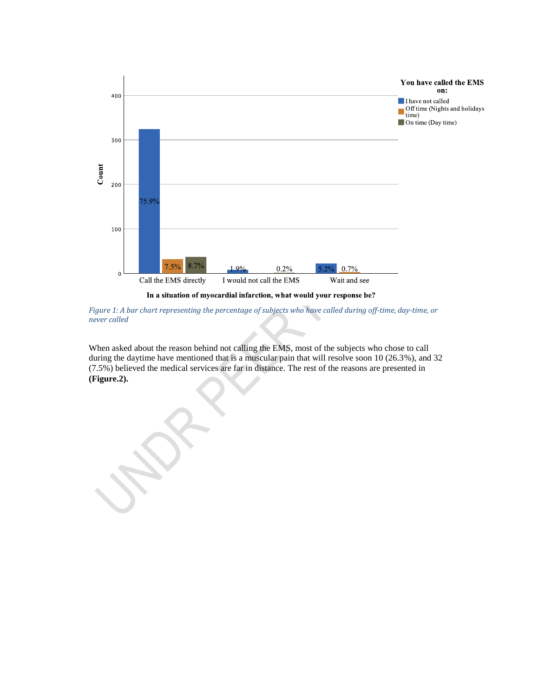

In a situation of myocardial infarction, what would your response be?

*Figure 1: A bar chart representing the percentage of subjects who have called during off-time, day-time, or never called*

When asked about the reason behind not calling the EMS, most of the subjects who chose to call during the daytime have mentioned that is a muscular pain that will resolve soon 10 (26.3%), and 32 (7.5%) believed the medical services are far in distance. The rest of the reasons are presented in **(Figure.2).**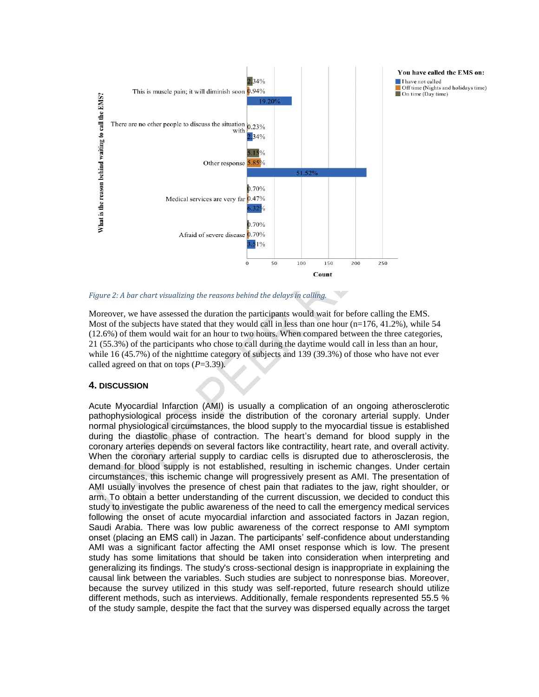



Moreover, we have assessed the duration the participants would wait for before calling the EMS. Most of the subjects have stated that they would call in less than one hour  $(n=176, 41.2\%)$ , while 54 (12.6%) of them would wait for an hour to two hours. When compared between the three categories, 21 (55.3%) of the participants who chose to call during the daytime would call in less than an hour, while 16 (45.7%) of the nighttime category of subjects and 139 (39.3%) of those who have not ever called agreed on that on tops (*P*=3.39).

#### **4. DISCUSSION**

Acute Myocardial Infarction (AMI) is usually a complication of an ongoing atherosclerotic pathophysiological process inside the distribution of the coronary arterial supply. Under normal physiological circumstances, the blood supply to the myocardial tissue is established during the diastolic phase of contraction. The heart's demand for blood supply in the coronary arteries depends on several factors like contractility, heart rate, and overall activity. When the coronary arterial supply to cardiac cells is disrupted due to atherosclerosis, the demand for blood supply is not established, resulting in ischemic changes. Under certain circumstances, this ischemic change will progressively present as AMI. The presentation of AMI usually involves the presence of chest pain that radiates to the jaw, right shoulder, or arm. To obtain a better understanding of the current discussion, we decided to conduct this study to investigate the public awareness of the need to call the emergency medical services following the onset of acute myocardial infarction and associated factors in Jazan region, Saudi Arabia. There was low public awareness of the correct response to AMI symptom onset (placing an EMS call) in Jazan. The participants' self-confidence about understanding AMI was a significant factor affecting the AMI onset response which is low. The present study has some limitations that should be taken into consideration when interpreting and generalizing its findings. The study's cross-sectional design is inappropriate in explaining the causal link between the variables. Such studies are subject to nonresponse bias. Moreover, because the survey utilized in this study was self-reported, future research should utilize different methods, such as interviews. Additionally, female respondents represented 55.5 % of the study sample, despite the fact that the survey was dispersed equally across the target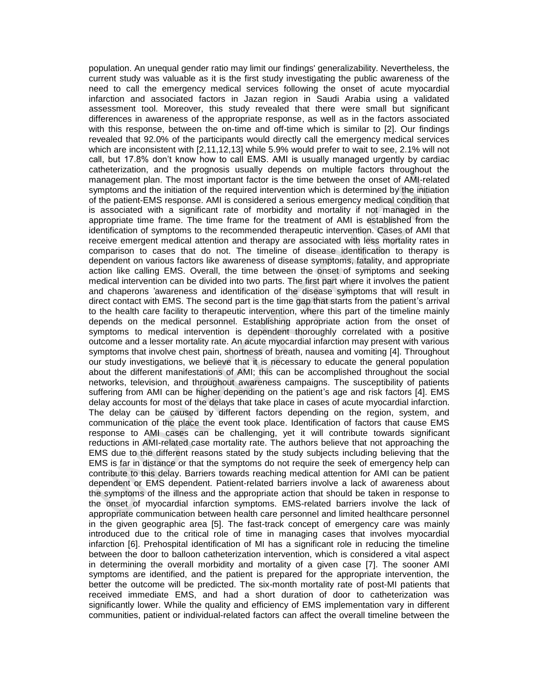population. An unequal gender ratio may limit our findings' generalizability. Nevertheless, the current study was valuable as it is the first study investigating the public awareness of the need to call the emergency medical services following the onset of acute myocardial infarction and associated factors in Jazan region in Saudi Arabia using a validated assessment tool. Moreover, this study revealed that there were small but significant differences in awareness of the appropriate response, as well as in the factors associated with this response, between the on-time and off-time which is similar to [2]. Our findings revealed that 92.0% of the participants would directly call the emergency medical services which are inconsistent with [2,11,12,13] while 5.9% would prefer to wait to see, 2.1% will not call, but 17.8% don't know how to call EMS. AMI is usually managed urgently by cardiac catheterization, and the prognosis usually depends on multiple factors throughout the management plan. The most important factor is the time between the onset of AMI-related symptoms and the initiation of the required intervention which is determined by the initiation of the patient-EMS response. AMI is considered a serious emergency medical condition that is associated with a significant rate of morbidity and mortality if not managed in the appropriate time frame. The time frame for the treatment of AMI is established from the identification of symptoms to the recommended therapeutic intervention. Cases of AMI that receive emergent medical attention and therapy are associated with less mortality rates in comparison to cases that do not. The timeline of disease identification to therapy is dependent on various factors like awareness of disease symptoms, fatality, and appropriate action like calling EMS. Overall, the time between the onset of symptoms and seeking medical intervention can be divided into two parts. The first part where it involves the patient and chaperons 'awareness and identification of the disease symptoms that will result in direct contact with EMS. The second part is the time gap that starts from the patient's arrival to the health care facility to therapeutic intervention, where this part of the timeline mainly depends on the medical personnel. Establishing appropriate action from the onset of symptoms to medical intervention is dependent thoroughly correlated with a positive outcome and a lesser mortality rate. An acute myocardial infarction may present with various symptoms that involve chest pain, shortness of breath, nausea and vomiting [4]. Throughout our study investigations, we believe that it is necessary to educate the general population about the different manifestations of AMI; this can be accomplished throughout the social networks, television, and throughout awareness campaigns. The susceptibility of patients suffering from AMI can be higher depending on the patient's age and risk factors [4]. EMS delay accounts for most of the delays that take place in cases of acute myocardial infarction. The delay can be caused by different factors depending on the region, system, and communication of the place the event took place. Identification of factors that cause EMS response to AMI cases can be challenging, yet it will contribute towards significant reductions in AMI-related case mortality rate. The authors believe that not approaching the EMS due to the different reasons stated by the study subjects including believing that the EMS is far in distance or that the symptoms do not require the seek of emergency help can contribute to this delay. Barriers towards reaching medical attention for AMI can be patient dependent or EMS dependent. Patient-related barriers involve a lack of awareness about the symptoms of the illness and the appropriate action that should be taken in response to the onset of myocardial infarction symptoms. EMS-related barriers involve the lack of appropriate communication between health care personnel and limited healthcare personnel in the given geographic area [5]. The fast-track concept of emergency care was mainly introduced due to the critical role of time in managing cases that involves myocardial infarction [6]. Prehospital identification of MI has a significant role in reducing the timeline between the door to balloon catheterization intervention, which is considered a vital aspect in determining the overall morbidity and mortality of a given case [7]. The sooner AMI symptoms are identified, and the patient is prepared for the appropriate intervention, the better the outcome will be predicted. The six-month mortality rate of post-MI patients that received immediate EMS, and had a short duration of door to catheterization was significantly lower. While the quality and efficiency of EMS implementation vary in different communities, patient or individual-related factors can affect the overall timeline between the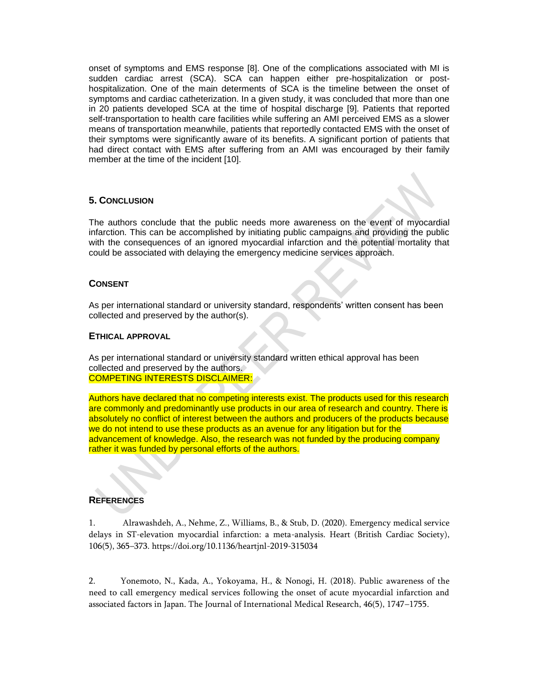onset of symptoms and EMS response [8]. One of the complications associated with MI is sudden cardiac arrest (SCA). SCA can happen either pre-hospitalization or posthospitalization. One of the main determents of SCA is the timeline between the onset of symptoms and cardiac catheterization. In a given study, it was concluded that more than one in 20 patients developed SCA at the time of hospital discharge [9]. Patients that reported self-transportation to health care facilities while suffering an AMI perceived EMS as a slower means of transportation meanwhile, patients that reportedly contacted EMS with the onset of their symptoms were significantly aware of its benefits. A significant portion of patients that had direct contact with EMS after suffering from an AMI was encouraged by their family member at the time of the incident [10].

# **5. CONCLUSION**

The authors conclude that the public needs more awareness on the event of myocardial infarction. This can be accomplished by initiating public campaigns and providing the public with the consequences of an ignored myocardial infarction and the potential mortality that could be associated with delaying the emergency medicine services approach.

## **CONSENT**

As per international standard or university standard, respondents' written consent has been collected and preserved by the author(s).

#### **ETHICAL APPROVAL**

As per international standard or university standard written ethical approval has been collected and preserved by the authors. COMPETING INTERESTS DISCLAIMER:

Authors have declared that no competing interests exist. The products used for this research are commonly and predominantly use products in our area of research and country. There is absolutely no conflict of interest between the authors and producers of the products because we do not intend to use these products as an avenue for any litigation but for the advancement of knowledge. Also, the research was not funded by the producing company rather it was funded by personal efforts of the authors.

#### **REFERENCES**

1. Alrawashdeh, A., Nehme, Z., Williams, B., & Stub, D. (2020). Emergency medical service delays in ST-elevation myocardial infarction: a meta-analysis. Heart (British Cardiac Society), 106(5), 365–373. https://doi.org/10.1136/heartjnl-2019-315034

2. Yonemoto, N., Kada, A., Yokoyama, H., & Nonogi, H. (2018). Public awareness of the need to call emergency medical services following the onset of acute myocardial infarction and associated factors in Japan. The Journal of International Medical Research, 46(5), 1747–1755.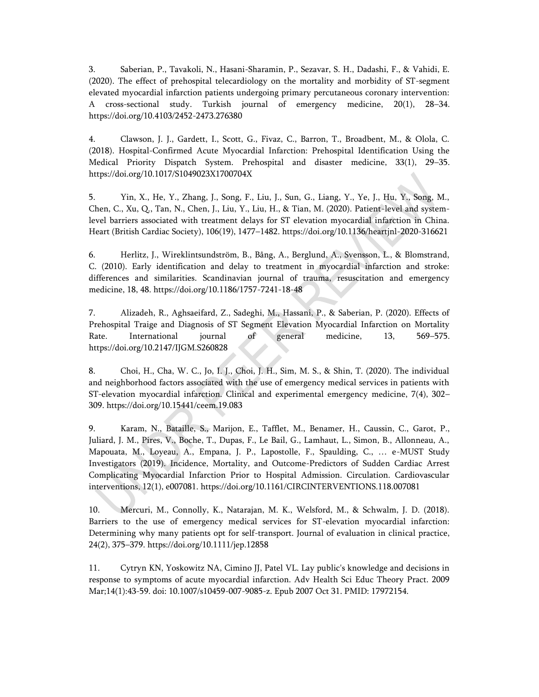3. Saberian, P., Tavakoli, N., Hasani-Sharamin, P., Sezavar, S. H., Dadashi, F., & Vahidi, E. (2020). The effect of prehospital telecardiology on the mortality and morbidity of ST-segment elevated myocardial infarction patients undergoing primary percutaneous coronary intervention: A cross-sectional study. Turkish journal of emergency medicine, 20(1), 28–34. https://doi.org/10.4103/2452-2473.276380

4. Clawson, J. J., Gardett, I., Scott, G., Fivaz, C., Barron, T., Broadbent, M., & Olola, C. (2018). Hospital-Confirmed Acute Myocardial Infarction: Prehospital Identification Using the Medical Priority Dispatch System. Prehospital and disaster medicine, 33(1), 29–35. https://doi.org/10.1017/S1049023X1700704X

5. Yin, X., He, Y., Zhang, J., Song, F., Liu, J., Sun, G., Liang, Y., Ye, J., Hu, Y., Song, M., Chen, C., Xu, Q., Tan, N., Chen, J., Liu, Y., Liu, H., & Tian, M. (2020). Patient-level and systemlevel barriers associated with treatment delays for ST elevation myocardial infarction in China. Heart (British Cardiac Society), 106(19), 1477–1482. https://doi.org/10.1136/heartjnl-2020-316621

6. Herlitz, J., Wireklintsundström, B., Bång, A., Berglund, A., Svensson, L., & Blomstrand, C. (2010). Early identification and delay to treatment in myocardial infarction and stroke: differences and similarities. Scandinavian journal of trauma, resuscitation and emergency medicine, 18, 48. https://doi.org/10.1186/1757-7241-18-48

7. Alizadeh, R., Aghsaeifard, Z., Sadeghi, M., Hassani, P., & Saberian, P. (2020). Effects of Prehospital Traige and Diagnosis of ST Segment Elevation Myocardial Infarction on Mortality Rate. International journal of general medicine, 13, 569–575. https://doi.org/10.2147/IJGM.S260828

8. Choi, H., Cha, W. C., Jo, I. J., Choi, J. H., Sim, M. S., & Shin, T. (2020). The individual and neighborhood factors associated with the use of emergency medical services in patients with ST-elevation myocardial infarction. Clinical and experimental emergency medicine, 7(4), 302– 309. https://doi.org/10.15441/ceem.19.083

9. Karam, N., Bataille, S., Marijon, E., Tafflet, M., Benamer, H., Caussin, C., Garot, P., Juliard, J. M., Pires, V., Boche, T., Dupas, F., Le Bail, G., Lamhaut, L., Simon, B., Allonneau, A., Mapouata, M., Loyeau, A., Empana, J. P., Lapostolle, F., Spaulding, C., … e-MUST Study Investigators (2019). Incidence, Mortality, and Outcome-Predictors of Sudden Cardiac Arrest Complicating Myocardial Infarction Prior to Hospital Admission. Circulation. Cardiovascular interventions, 12(1), e007081. https://doi.org/10.1161/CIRCINTERVENTIONS.118.007081

10. Mercuri, M., Connolly, K., Natarajan, M. K., Welsford, M., & Schwalm, J. D. (2018). Barriers to the use of emergency medical services for ST-elevation myocardial infarction: Determining why many patients opt for self-transport. Journal of evaluation in clinical practice, 24(2), 375–379. https://doi.org/10.1111/jep.12858

11. Cytryn KN, Yoskowitz NA, Cimino JJ, Patel VL. Lay public's knowledge and decisions in response to symptoms of acute myocardial infarction. Adv Health Sci Educ Theory Pract. 2009 Mar;14(1):43-59. doi: 10.1007/s10459-007-9085-z. Epub 2007 Oct 31. PMID: 17972154.